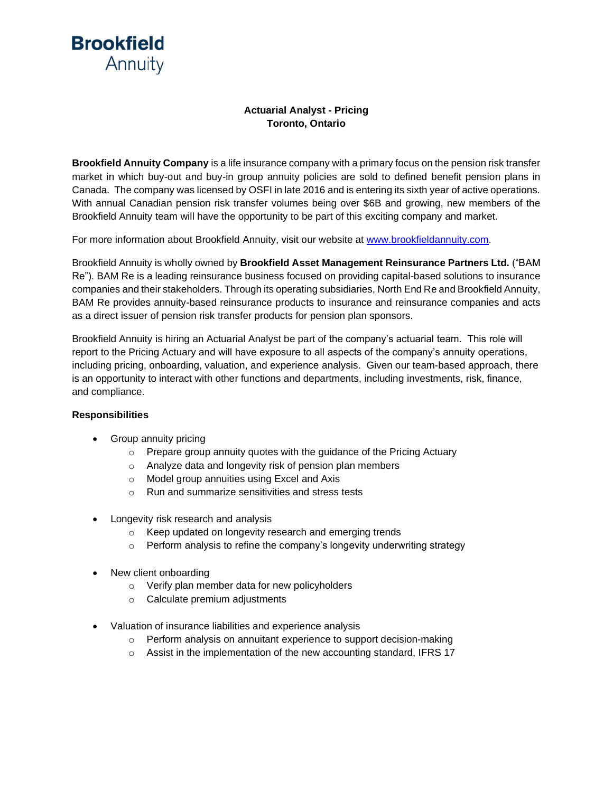**Brookfield** Annuity

## **Actuarial Analyst - Pricing Toronto, Ontario**

**Brookfield Annuity Company** is a life insurance company with a primary focus on the pension risk transfer market in which buy-out and buy-in group annuity policies are sold to defined benefit pension plans in Canada. The company was licensed by OSFI in late 2016 and is entering its sixth year of active operations. With annual Canadian pension risk transfer volumes being over \$6B and growing, new members of the Brookfield Annuity team will have the opportunity to be part of this exciting company and market.

For more information about Brookfield Annuity, visit our website at [www.brookfieldannuity.com.](http://www.brookfieldannuity.com/)

Brookfield Annuity is wholly owned by **Brookfield Asset Management Reinsurance Partners Ltd.** ("BAM Re"). BAM Re is a leading reinsurance business focused on providing capital-based solutions to insurance companies and their stakeholders. Through its operating subsidiaries, North End Reand Brookfield Annuity, BAM Re provides annuity-based reinsurance products to insurance and reinsurance companies and acts as a direct issuer of pension risk transfer products for pension plan sponsors.

Brookfield Annuity is hiring an Actuarial Analyst be part of the company's actuarial team. This role will report to the Pricing Actuary and will have exposure to all aspects of the company's annuity operations, including pricing, onboarding, valuation, and experience analysis. Given our team-based approach, there is an opportunity to interact with other functions and departments, including investments, risk, finance, and compliance.

## **Responsibilities**

- Group annuity pricing
	- o Prepare group annuity quotes with the guidance of the Pricing Actuary
	- o Analyze data and longevity risk of pension plan members
	- o Model group annuities using Excel and Axis
	- o Run and summarize sensitivities and stress tests
- Longevity risk research and analysis
	- o Keep updated on longevity research and emerging trends
	- o Perform analysis to refine the company's longevity underwriting strategy
- New client onboarding
	- o Verify plan member data for new policyholders
	- o Calculate premium adjustments
- Valuation of insurance liabilities and experience analysis
	- o Perform analysis on annuitant experience to support decision-making
	- o Assist in the implementation of the new accounting standard, IFRS 17